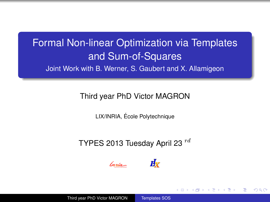# Formal Non-linear Optimization via Templates and Sum-of-Squares Joint Work with B. Werner, S. Gaubert and X. Allamigeon

#### Third year PhD Victor MAGRON

LIX/INRIA, Ecole Polytechnique ´

## TYPES 2013 Tuesday April 23  $^{rd}$





イロト イ押ト イヨト

<span id="page-0-0"></span>つのへ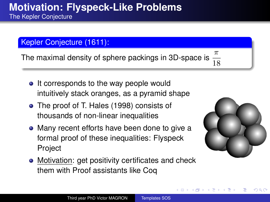The Kepler Conjecture

### Kepler Conjecture (1611):

The maximal density of sphere packings in 3D-space is  $\frac{1}{18}$ 

- It corresponds to the way people would intuitively stack oranges, as a pyramid shape
- The proof of T. Hales (1998) consists of thousands of non-linear inequalities
- Many recent efforts have been done to give a formal proof of these inequalities: Flyspeck Project
- Motivation: get positivity certificates and check them with Proof assistants like Coq



 $QQ$ 

**K ロ ト K 何 ト K ヨ ト**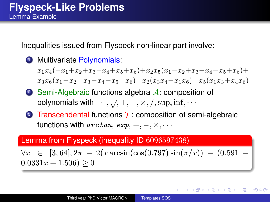Inequalities issued from Flyspeck non-linear part involve:

**1** Multivariate Polynomials:

 $x_1x_4(-x_1+x_2+x_3-x_4+x_5+x_6)+x_2x_5(x_1-x_2+x_3+x_4-x_5+x_6)+$  $x_3x_6(x_1+x_2-x_3+x_4+x_5-x_6)-x_2(x_3x_4+x_1x_6)-x_5(x_1x_3+x_4x_6)$ 

- 2 Semi-Algebraic functions algebra  $\mathcal{A}$ : composition of polynomials with  $|\cdot|, \sqrt{} , +, -, \times, /, \sup, \inf, \cdots$
- $\bullet$  Transcendental functions T: composition of semi-algebraic functions with  $\mathit{arctan}, \mathit{exp}, +, -, \times, \cdots$

#### Lemma from Flyspeck (inequality ID 6096597438)

 $\forall x \in [3, 64], 2\pi - 2(x \arcsin(\cos(0.797) \sin(\pi/x)) - (0.591 0.0331x + 1.506$ ) > 0

イロト イ押ト イヨト イヨト

 $200$